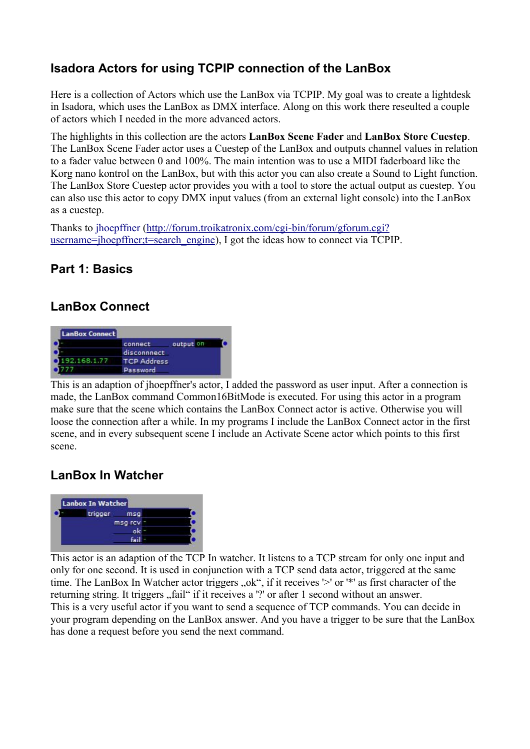## **Isadora Actors for using TCPIP connection of the LanBox**

Here is a collection of Actors which use the LanBox via TCPIP. My goal was to create a lightdesk in Isadora, which uses the LanBox as DMX interface. Along on this work there reseulted a couple of actors which I needed in the more advanced actors.

The highlights in this collection are the actors **LanBox Scene Fader** and **LanBox Store Cuestep**. The LanBox Scene Fader actor uses a Cuestep of the LanBox and outputs channel values in relation to a fader value between 0 and 100%. The main intention was to use a MIDI faderboard like the Korg nano kontrol on the LanBox, but with this actor you can also create a Sound to Light function. The LanBox Store Cuestep actor provides you with a tool to store the actual output as cuestep. You can also use this actor to copy DMX input values (from an external light console) into the LanBox as a cuestep.

Thanks to jhoepffner [\(http://forum.troikatronix.com/cgi-bin/forum/gforum.cgi?](http://forum.troikatronix.com/cgi-bin/forum/gforum.cgi?username=jhoepffner;t=search_engine) [username=jhoepffner;t=search\\_engine\)](http://forum.troikatronix.com/cgi-bin/forum/gforum.cgi?username=jhoepffner;t=search_engine), I got the ideas how to connect via TCPIP.

### **Part 1: Basics**

## **LanBox Connect**



This is an adaption of jhoepffner's actor, I added the password as user input. After a connection is made, the LanBox command Common16BitMode is executed. For using this actor in a program make sure that the scene which contains the LanBox Connect actor is active. Otherwise you will loose the connection after a while. In my programs I include the LanBox Connect actor in the first scene, and in every subsequent scene I include an Activate Scene actor which points to this first scene.

## **LanBox In Watcher**



This actor is an adaption of the TCP In watcher. It listens to a TCP stream for only one input and only for one second. It is used in conjunction with a TCP send data actor, triggered at the same time. The LanBox In Watcher actor triggers "ok", if it receives '>' or '\*' as first character of the returning string. It triggers "fail" if it receives a '?' or after 1 second without an answer. This is a very useful actor if you want to send a sequence of TCP commands. You can decide in your program depending on the LanBox answer. And you have a trigger to be sure that the LanBox has done a request before you send the next command.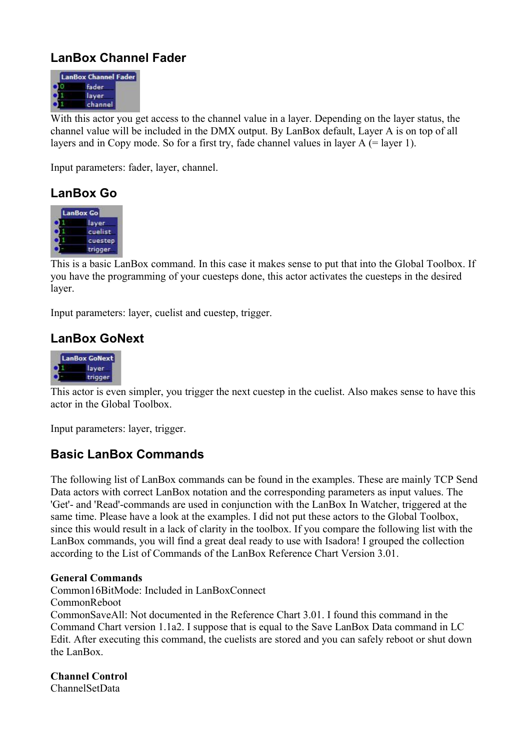## **LanBox Channel Fader**



With this actor you get access to the channel value in a layer. Depending on the layer status, the channel value will be included in the DMX output. By LanBox default, Layer A is on top of all layers and in Copy mode. So for a first try, fade channel values in layer A (= layer 1).

Input parameters: fader, layer, channel.

### **LanBox Go**



This is a basic LanBox command. In this case it makes sense to put that into the Global Toolbox. If you have the programming of your cuesteps done, this actor activates the cuesteps in the desired layer.

Input parameters: layer, cuelist and cuestep, trigger.

### **LanBox GoNext**



This actor is even simpler, you trigger the next cuestep in the cuelist. Also makes sense to have this actor in the Global Toolbox.

Input parameters: layer, trigger.

### **Basic LanBox Commands**

The following list of LanBox commands can be found in the examples. These are mainly TCP Send Data actors with correct LanBox notation and the corresponding parameters as input values. The 'Get'- and 'Read'-commands are used in conjunction with the LanBox In Watcher, triggered at the same time. Please have a look at the examples. I did not put these actors to the Global Toolbox, since this would result in a lack of clarity in the toolbox. If you compare the following list with the LanBox commands, you will find a great deal ready to use with Isadora! I grouped the collection according to the List of Commands of the LanBox Reference Chart Version 3.01.

#### **General Commands**

Common16BitMode: Included in LanBoxConnect

CommonReboot

CommonSaveAll: Not documented in the Reference Chart 3.01. I found this command in the Command Chart version 1.1a2. I suppose that is equal to the Save LanBox Data command in LC Edit. After executing this command, the cuelists are stored and you can safely reboot or shut down the LanBox.

**Channel Control** ChannelSetData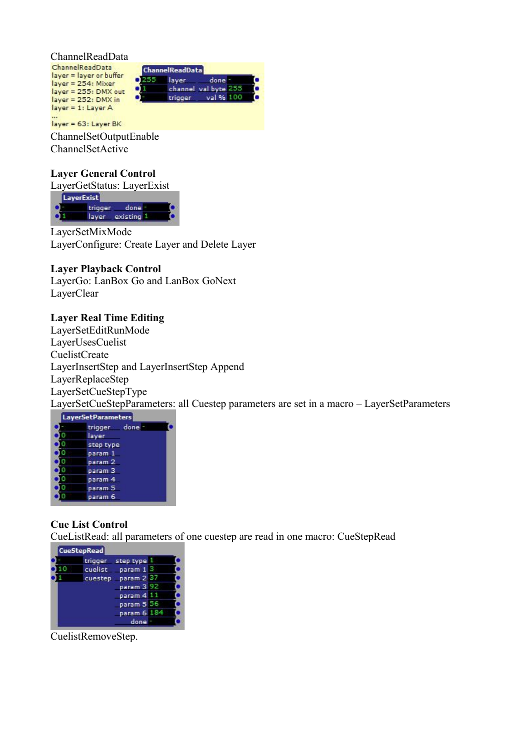ChannelReadData

ChannelReadData **ChannelReadData** layer = layer or buffer  $0<sup>255</sup>$ done layer layer = 254: Mixer channel val byte 255 ۰ layer = 255: DMX out val % 100 trigger  $layer = 252: DMX in$ layer = 1: Layer A

layer = 63: Layer BK

ChannelSetOutputEnable ChannelSetActive

#### **Layer General Control**

LayerGetStatus: LayerExist LayerExist trigger done Œ layer existing 1

LayerSetMixMode LayerConfigure: Create Layer and Delete Layer

#### **Layer Playback Control**

LayerGo: LanBox Go and LanBox GoNext LayerClear

#### **Layer Real Time Editing**

LayerSetEditRunMode LayerUsesCuelist CuelistCreate LayerInsertStep and LayerInsertStep Append LayerReplaceStep LayerSetCueStepType

LayerSetCueStepParameters: all Cuestep parameters are set in a macro – LayerSetParameters

| <b>LayerSetParameters</b> |  |
|---------------------------|--|
| trigger done              |  |
| layer                     |  |
| step type                 |  |
| param 1                   |  |
| param <sub>2</sub>        |  |
| param <sub>3</sub>        |  |
| param 4                   |  |
| param 5                   |  |
| param 6                   |  |

### **Cue List Control**

CueListRead: all parameters of one cuestep are read in one macro: CueStepRead

| <b>CueStepRead</b> |             |  |
|--------------------|-------------|--|
| trigger            | step type 1 |  |
| cuelist            | param 1 3   |  |
| cuestep            | param 2 37  |  |
|                    | param 3 92  |  |
|                    | param 4 11  |  |
|                    | param 5 56  |  |
|                    | param 6 184 |  |
|                    |             |  |

CuelistRemoveStep.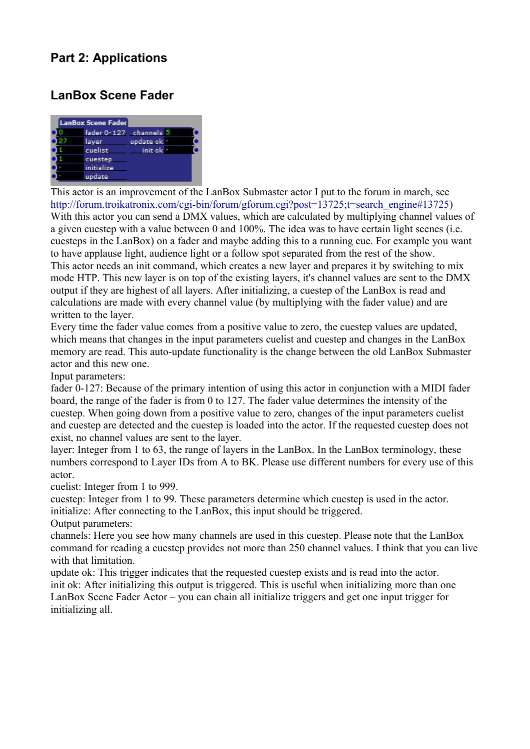## **Part 2: Applications**

### **LanBox Scene Fader**

| <b>LanBox Scene Fader</b> |           |  |
|---------------------------|-----------|--|
| fader 0-127 channels 5    |           |  |
| layer                     | update ok |  |
| cuelist                   | init ok - |  |
| cuestep                   |           |  |
| initialize                |           |  |
| update                    |           |  |

This actor is an improvement of the LanBox Submaster actor I put to the forum in march, see [http://forum.troikatronix.com/cgi-bin/forum/gforum.cgi?post=13725;t=search\\_engine#13725\)](http://forum.troikatronix.com/cgi-bin/forum/gforum.cgi?post=13725;t=search_engine#13725) With this actor you can send a DMX values, which are calculated by multiplying channel values of a given cuestep with a value between 0 and 100%. The idea was to have certain light scenes (i.e. cuesteps in the LanBox) on a fader and maybe adding this to a running cue. For example you want to have applause light, audience light or a follow spot separated from the rest of the show. This actor needs an init command, which creates a new layer and prepares it by switching to mix mode HTP. This new layer is on top of the existing layers, it's channel values are sent to the DMX output if they are highest of all layers. After initializing, a cuestep of the LanBox is read and calculations are made with every channel value (by multiplying with the fader value) and are written to the layer.

Every time the fader value comes from a positive value to zero, the cuestep values are updated, which means that changes in the input parameters cuelist and cuestep and changes in the LanBox memory are read. This auto-update functionality is the change between the old LanBox Submaster actor and this new one.

Input parameters:

fader 0-127: Because of the primary intention of using this actor in conjunction with a MIDI fader board, the range of the fader is from 0 to 127. The fader value determines the intensity of the cuestep. When going down from a positive value to zero, changes of the input parameters cuelist and cuestep are detected and the cuestep is loaded into the actor. If the requested cuestep does not exist, no channel values are sent to the layer.

layer: Integer from 1 to 63, the range of layers in the LanBox. In the LanBox terminology, these numbers correspond to Layer IDs from A to BK. Please use different numbers for every use of this actor.

cuelist: Integer from 1 to 999.

cuestep: Integer from 1 to 99. These parameters determine which cuestep is used in the actor. initialize: After connecting to the LanBox, this input should be triggered.

Output parameters:

channels: Here you see how many channels are used in this cuestep. Please note that the LanBox command for reading a cuestep provides not more than 250 channel values. I think that you can live with that limitation.

update ok: This trigger indicates that the requested cuestep exists and is read into the actor. init ok: After initializing this output is triggered. This is useful when initializing more than one LanBox Scene Fader Actor – you can chain all initialize triggers and get one input trigger for initializing all.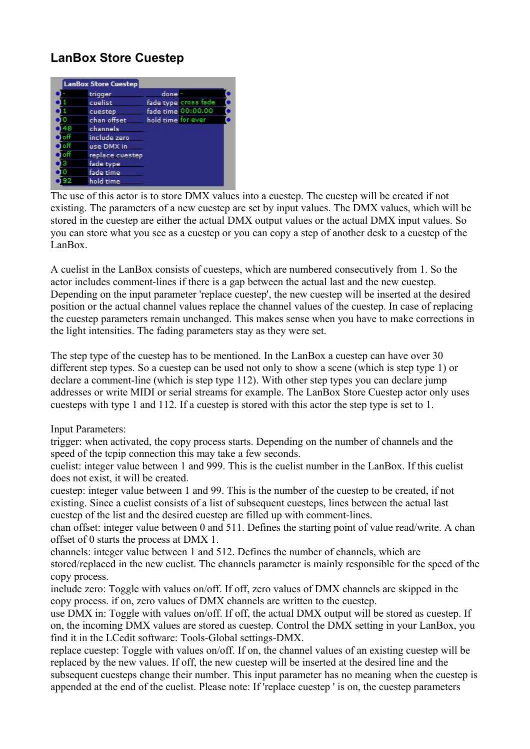# **LanBox Store Cuestep**

| trigger         | done               |                      |
|-----------------|--------------------|----------------------|
| cuelist         |                    | fade type cross fade |
| cuestep         |                    | fade time 00:00.00   |
| chan offset     | hold time for ever |                      |
| channels        |                    |                      |
| include zero    |                    |                      |
| use DMX in      |                    |                      |
| replace cuestep |                    |                      |
| fade type       |                    |                      |
| fade time       |                    |                      |
| hold time       |                    |                      |

The use of this actor is to store DMX values into a cuestep. The cuestep will be created if not existing. The parameters of a new cuestep are set by input values. The DMX values, which will be stored in the cuestep are either the actual DMX output values or the actual DMX input values. So you can store what you see as a cuestep or you can copy a step of another desk to a cuestep of the LanBox.

A cuelist in the LanBox consists of cuesteps, which are numbered consecutively from 1. So the actor includes comment-lines if there is a gap between the actual last and the new cuestep. Depending on the input parameter 'replace cuestep', the new cuestep will be inserted at the desired position or the actual channel values replace the channel values of the cuestep. In case of replacing the cuestep parameters remain unchanged. This makes sense when you have to make corrections in the light intensities. The fading parameters stay as they were set.

The step type of the cuestep has to be mentioned. In the LanBox a cuestep can have over 30 different step types. So a cuestep can be used not only to show a scene (which is step type 1) or declare a comment-line (which is step type 112). With other step types you can declare jump addresses or write MIDI or serial streams for example. The LanBox Store Cuestep actor only uses cuesteps with type 1 and 112. If a cuestep is stored with this actor the step type is set to 1.

### Input Parameters:

trigger: when activated, the copy process starts. Depending on the number of channels and the speed of the tcpip connection this may take a few seconds.

cuelist: integer value between 1 and 999. This is the cuelist number in the LanBox. If this cuelist does not exist, it will be created.

cuestep: integer value between 1 and 99. This is the number of the cuestep to be created, if not existing. Since a cuelist consists of a list of subsequent cuesteps, lines between the actual last cuestep of the list and the desired cuestep are filled up with comment-lines.

chan offset: integer value between 0 and 511. Defines the starting point of value read/write. A chan offset of 0 starts the process at DMX 1.

channels: integer value between 1 and 512. Defines the number of channels, which are stored/replaced in the new cuelist. The channels parameter is mainly responsible for the speed of the copy process.

include zero: Toggle with values on/off. If off, zero values of DMX channels are skipped in the copy process. if on, zero values of DMX channels are written to the cuestep.

use DMX in: Toggle with values on/off. If off, the actual DMX output will be stored as cuestep. If on, the incoming DMX values are stored as cuestep. Control the DMX setting in your LanBox, you find it in the LCedit software: Tools-Global settings-DMX.

replace cuestep: Toggle with values on/off. If on, the channel values of an existing cuestep will be replaced by the new values. If off, the new cuestep will be inserted at the desired line and the subsequent cuesteps change their number. This input parameter has no meaning when the cuestep is appended at the end of the cuelist. Please note: If 'replace cuestep ' is on, the cuestep parameters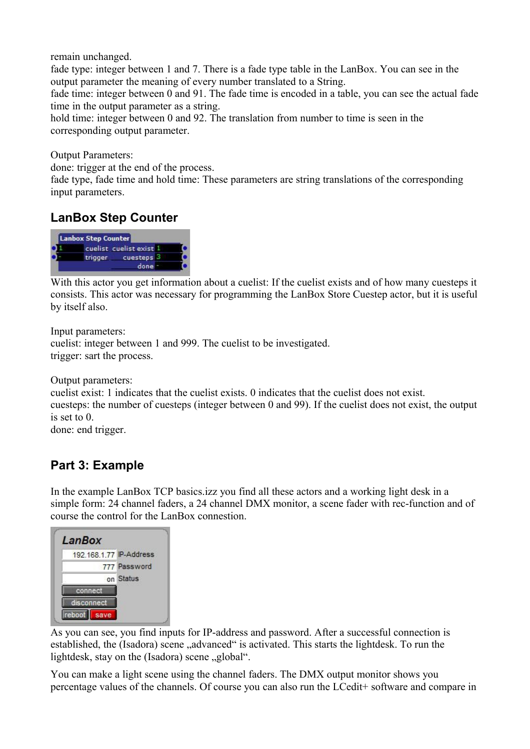remain unchanged.

fade type: integer between 1 and 7. There is a fade type table in the LanBox. You can see in the output parameter the meaning of every number translated to a String.

fade time: integer between 0 and 91. The fade time is encoded in a table, you can see the actual fade time in the output parameter as a string.

hold time: integer between 0 and 92. The translation from number to time is seen in the corresponding output parameter.

Output Parameters:

done: trigger at the end of the process.

fade type, fade time and hold time: These parameters are string translations of the corresponding input parameters.

### **LanBox Step Counter**



With this actor you get information about a cuelist: If the cuelist exists and of how many cuesteps it consists. This actor was necessary for programming the LanBox Store Cuestep actor, but it is useful by itself also.

Input parameters: cuelist: integer between 1 and 999. The cuelist to be investigated. trigger: sart the process.

Output parameters:

cuelist exist: 1 indicates that the cuelist exists. 0 indicates that the cuelist does not exist. cuesteps: the number of cuesteps (integer between 0 and 99). If the cuelist does not exist, the output is set to 0.

done: end trigger.

### **Part 3: Example**

In the example LanBox TCP basics.izz you find all these actors and a working light desk in a simple form: 24 channel faders, a 24 channel DMX monitor, a scene fader with rec-function and of course the control for the LanBox connestion.

| LanBox                  |              |
|-------------------------|--------------|
| 192.168.1.77 IP-Address |              |
|                         | 777 Password |
|                         | on Status    |
| connect                 |              |
| disconnect              |              |
|                         |              |

As you can see, you find inputs for IP-address and password. After a successful connection is established, the (Isadora) scene "advanced" is activated. This starts the lightdesk. To run the lightdesk, stay on the  $(Isadora)$  scene  $\Box$ global".

You can make a light scene using the channel faders. The DMX output monitor shows you percentage values of the channels. Of course you can also run the LCedit+ software and compare in